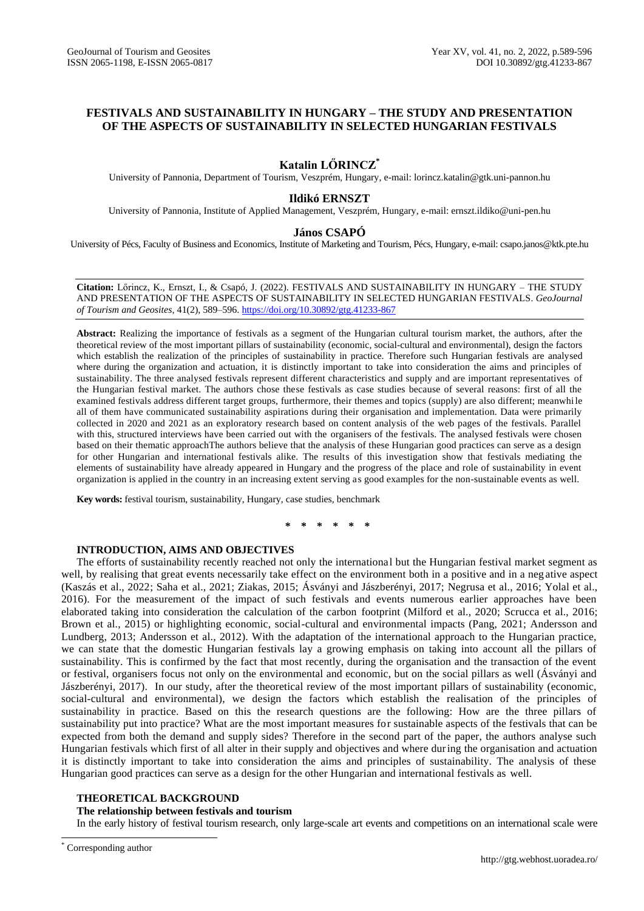## **FESTIVALS AND SUSTAINABILITY IN HUNGARY – THE STUDY AND PRESENTATION OF THE ASPECTS OF SUSTAINABILITY IN SELECTED HUNGARIAN FESTIVALS**

# **Katalin LŐRINCZ\***

University of Pannonia, Department of Tourism, Veszprém, Hungary, e-mail: lorincz.katalin@gtk.uni-pannon.hu

## **Ildikó ERNSZT**

University of Pannonia, Institute of Applied Management, Veszprém, Hungary, e-mail[: ernszt.ildiko@uni-pen.hu](mailto:ernszt.ildiko@uni-pen.hu)

## **János CSAPÓ**

University of Pécs, Faculty of Business and Economics, Institute of Marketing and Tourism, Pécs, Hungary, e-mail: csapo.janos@ktk.pte.hu

**Citation:** Lőrincz, K., Ernszt, I., & Csapó, J. (2022). FESTIVALS AND SUSTAINABILITY IN HUNGARY – THE STUDY AND PRESENTATION OF THE ASPECTS OF SUSTAINABILITY IN SELECTED HUNGARIAN FESTIVALS. *GeoJournal of Tourism and Geosites*, 41(2), 589–596. <https://doi.org/10.30892/gtg.41233-867>

**Abstract:** Realizing the importance of festivals as a segment of the Hungarian cultural tourism market, the authors, after the theoretical review of the most important pillars of sustainability (economic, social-cultural and environmental), design the factors which establish the realization of the principles of sustainability in practice. Therefore such Hungarian festivals are analysed where during the organization and actuation, it is distinctly important to take into consideration the aims and principles of sustainability. The three analysed festivals represent different characteristics and supply and are important representatives of the Hungarian festival market. The authors chose these festivals as case studies because of several reasons: first of all the examined festivals address different target groups, furthermore, their themes and topics (supply) are also different; meanwhile all of them have communicated sustainability aspirations during their organisation and implementation. Data were primarily collected in 2020 and 2021 as an exploratory research based on content analysis of the web pages of the festivals. Parallel with this, structured interviews have been carried out with the organisers of the festivals. The analysed festivals were chosen based on their thematic approachThe authors believe that the analysis of these Hungarian good practices can serve as a design for other Hungarian and international festivals alike. The results of this investigation show that festivals mediating the elements of sustainability have already appeared in Hungary and the progress of the place and role of sustainability in event organization is applied in the country in an increasing extent serving as good examples for the non-sustainable events as well.

**Key words:** festival tourism, sustainability, Hungary, case studies, benchmark

**\* \* \* \* \* \***

### **INTRODUCTION, AIMS AND OBJECTIVES**

The efforts of sustainability recently reached not only the international but the Hungarian festival market segment as well, by realising that great events necessarily take effect on the environment both in a positive and in a neg ative aspect (Kaszás et al., 2022; Saha et al., 2021; Ziakas, 2015; Ásványi and Jászberényi, 2017; Negrusa et al., 2016; Yolal et al., 2016). For the measurement of the impact of such festivals and events numerous earlier approaches have been elaborated taking into consideration the calculation of the carbon footprint (Milford et al., 2020; Scrucca et al., 2016; Brown et al., 2015) or highlighting economic, social-cultural and environmental impacts (Pang, 2021; Andersson and Lundberg, 2013; Andersson et al., 2012). With the adaptation of the international approach to the Hungarian practice, we can state that the domestic Hungarian festivals lay a growing emphasis on taking into account all the pillars of sustainability. This is confirmed by the fact that most recently, during the organisation and the transaction of the event or festival, organisers focus not only on the environmental and economic, but on the social pillars as well (Ásványi and Jászberényi, 2017). In our study, after the theoretical review of the most important pillars of sustainability (economic, social-cultural and environmental), we design the factors which establish the realisation of the principles of sustainability in practice. Based on this the research questions are the following: How are the three pillars of sustainability put into practice? What are the most important measures for sustainable aspects of the festivals that can be expected from both the demand and supply sides? Therefore in the second part of the paper, the authors analyse such Hungarian festivals which first of all alter in their supply and objectives and where during the organisation and actuation it is distinctly important to take into consideration the aims and principles of sustainability. The analysis of these Hungarian good practices can serve as a design for the other Hungarian and international festivals as well.

## **THEORETICAL BACKGROUND**

## **The relationship between festivals and tourism**

In the early history of festival tourism research, only large-scale art events and competitions on an international scale were

 $\overline{\phantom{a}}$ 

Corresponding author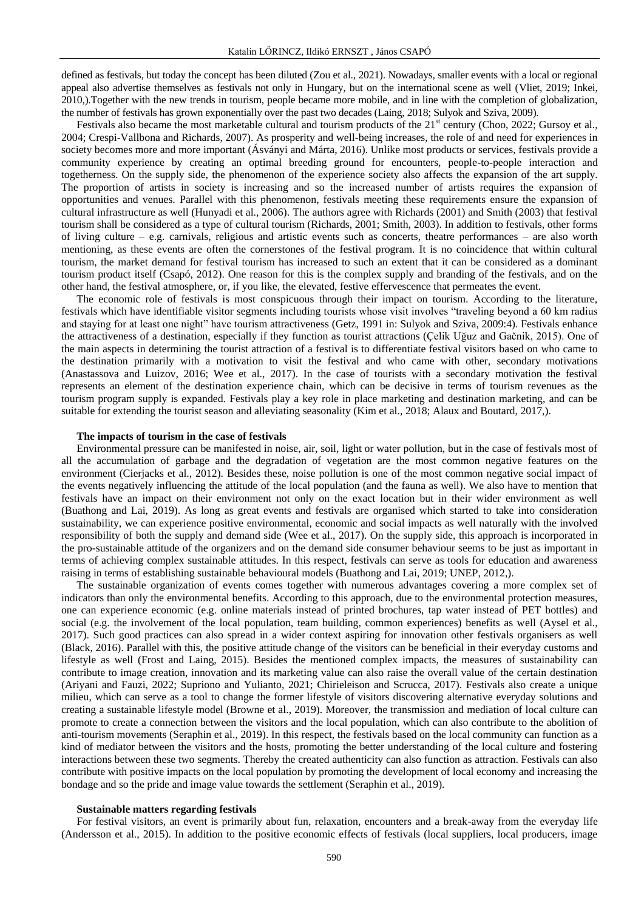defined as festivals, but today the concept has been diluted (Zou et al., 2021). Nowadays, smaller events with a local or regional appeal also advertise themselves as festivals not only in Hungary, but on the international scene as well (Vliet, 2019; Inkei, 2010,).Together with the new trends in tourism, people became more mobile, and in line with the completion of globalization, the number of festivals has grown exponentially over the past two decades (Laing, 2018; Sulyok and Sziva, 2009).

Festivals also became the most marketable cultural and tourism products of the 21<sup>st</sup> century (Choo, 2022; Gursoy et al., 2004; Crespi-Vallbona and Richards, 2007). As prosperity and well-being increases, the role of and need for experiences in society becomes more and more important (Ásványi and Márta, 2016). Unlike most products or services, festivals provide a community experience by creating an optimal breeding ground for encounters, people-to-people interaction and togetherness. On the supply side, the phenomenon of the experience society also affects the expansion of the art supply. The proportion of artists in society is increasing and so the increased number of artists requires the expansion of opportunities and venues. Parallel with this phenomenon, festivals meeting these requirements ensure the expansion of cultural infrastructure as well (Hunyadi et al., 2006). The authors agree with Richards (2001) and Smith (2003) that festival tourism shall be considered as a type of cultural tourism (Richards, 2001; Smith, 2003). In addition to festivals, other forms of living culture – e.g. carnivals, religious and artistic events such as concerts, theatre performances – are also worth mentioning, as these events are often the cornerstones of the festival program. It is no coincidence that within cultural tourism, the market demand for festival tourism has increased to such an extent that it can be considered as a dominant tourism product itself (Csapó, 2012). One reason for this is the complex supply and branding of the festivals, and on the other hand, the festival atmosphere, or, if you like, the elevated, festive effervescence that permeates the event.

The economic role of festivals is most conspicuous through their impact on tourism. According to the literature, festivals which have identifiable visitor segments including tourists whose visit involves "traveling beyond a 60 km radius and staying for at least one night" have tourism attractiveness (Getz, 1991 in: Sulyok and Sziva, 2009:4). Festivals enhance the attractiveness of a destination, especially if they function as tourist attractions (Çelik Uğuz and Gačnik, 2015). One of the main aspects in determining the tourist attraction of a festival is to differentiate festival visitors based on who came to the destination primarily with a motivation to visit the festival and who came with other, secondary motivations (Anastassova and Luizov, 2016; Wee et al., 2017). In the case of tourists with a secondary motivation the festival represents an element of the destination experience chain, which can be decisive in terms of tourism revenues as the tourism program supply is expanded. Festivals play a key role in place marketing and destination marketing, and can be suitable for extending the tourist season and alleviating seasonality (Kim et al., 2018; Alaux and Boutard, 2017,).

### **The impacts of tourism in the case of festivals**

Environmental pressure can be manifested in noise, air, soil, light or water pollution, but in the case of festivals most of all the accumulation of garbage and the degradation of vegetation are the most common negative features on the environment (Cierjacks et al., 2012). Besides these, noise pollution is one of the most common negative social impact of the events negatively influencing the attitude of the local population (and the fauna as well). We also have to mention that festivals have an impact on their environment not only on the exact location but in their wider environment as well (Buathong and Lai, 2019). As long as great events and festivals are organised which started to take into consideration sustainability, we can experience positive environmental, economic and social impacts as well naturally with the involved responsibility of both the supply and demand side (Wee et al., 2017). On the supply side, this approach is incorporated in the pro-sustainable attitude of the organizers and on the demand side consumer behaviour seems to be just as important in terms of achieving complex sustainable attitudes. In this respect, festivals can serve as tools for education and awareness raising in terms of establishing sustainable behavioural models (Buathong and Lai, 2019; UNEP, 2012,).

The sustainable organization of events comes together with numerous advantages covering a more complex set of indicators than only the environmental benefits. According to this approach, due to the environmental protection measures, one can experience economic (e.g. online materials instead of printed brochures, tap water instead of PET bottles) and social (e.g. the involvement of the local population, team building, common experiences) benefits as well (Aysel et al., 2017). Such good practices can also spread in a wider context aspiring for innovation other festivals organisers as well (Black, 2016). Parallel with this, the positive attitude change of the visitors can be beneficial in their everyday customs and lifestyle as well (Frost and Laing, 2015). Besides the mentioned complex impacts, the measures of sustainability can contribute to image creation, innovation and its marketing value can also raise the overall value of the certain destination (Ariyani and Fauzi, 2022; Supriono and Yulianto, 2021; Chirieleison and Scrucca, 2017). Festivals also create a unique milieu, which can serve as a tool to change the former lifestyle of visitors discovering alternative everyday solutions and creating a sustainable lifestyle model (Browne et al., 2019). Moreover, the transmission and mediation of local culture can promote to create a connection between the visitors and the local population, which can also contribute to the abolition of anti-tourism movements (Seraphin et al., 2019). In this respect, the festivals based on the local community can function as a kind of mediator between the visitors and the hosts, promoting the better understanding of the local culture and fostering interactions between these two segments. Thereby the created authenticity can also function as attraction. Festivals can also contribute with positive impacts on the local population by promoting the development of local economy and increasing the bondage and so the pride and image value towards the settlement (Seraphin et al., 2019).

### **Sustainable matters regarding festivals**

For festival visitors, an event is primarily about fun, relaxation, encounters and a break-away from the everyday life (Andersson et al., 2015). In addition to the positive economic effects of festivals (local suppliers, local producers, image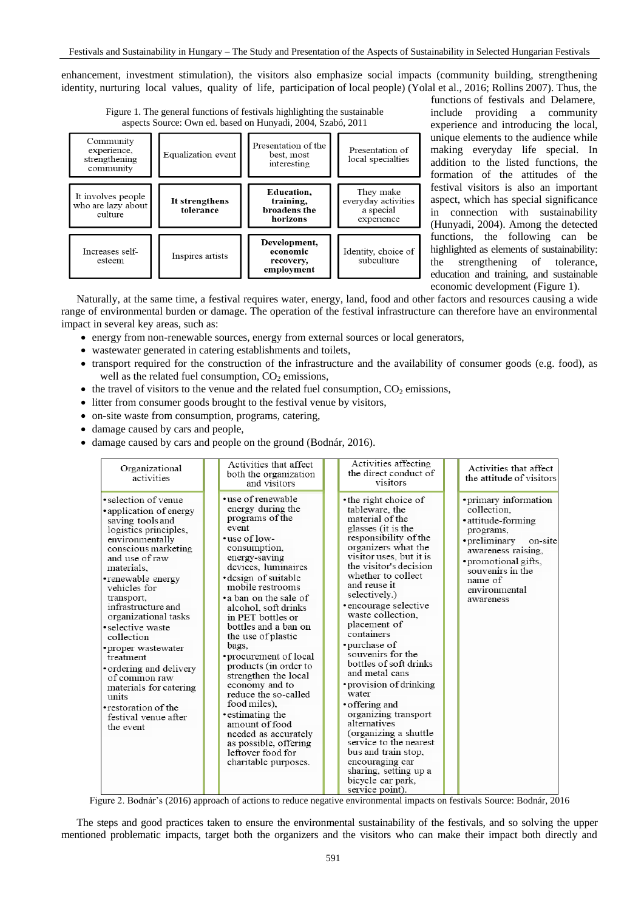enhancement, investment stimulation), the visitors also emphasize social impacts (community building, strengthening identity, nurturing local values, quality of life, participation of local people) (Yolal et al., 2016; Rollins 2007). Thus, the



 functions of festivals and Delamere, include providing a community experience and introducing the local, unique elements to the audience while making everyday life special. In addition to the listed functions, the formation of the attitudes of the festival visitors is also an important aspect, which has special significance in connection with sustainability (Hunyadi, 2004). Among the detected functions, the following can be highlighted as elements of sustainability: the strengthening of tolerance, education and training, and sustainable economic development (Figure 1).

Naturally, at the same time, a festival requires water, energy, land, food and other factors and resources causing a wide range of environmental burden or damage. The operation of the festival infrastructure can therefore have an environmental impact in several key areas, such as:

- energy from non-renewable sources, energy from external sources or local generators,
- wastewater generated in catering establishments and toilets,
- transport required for the construction of the infrastructure and the availability of consumer goods (e.g. food), as well as the related fuel consumption,  $CO<sub>2</sub>$  emissions,
- $\bullet$  the travel of visitors to the venue and the related fuel consumption,  $CO<sub>2</sub>$  emissions,
- litter from consumer goods brought to the festival venue by visitors,
- on-site waste from consumption, programs, catering,
- damage caused by cars and people,
- damage caused by cars and people on the ground (Bodnár, 2016).

| Organizational<br>activities                                                                                                                                                                                                                                                                                                                                                                                                                                                              | Activities that affect<br>both the organization<br>and visitors                                                                                                                                                                                                                                                                                                                                                                                                                                                                                                                              | Activities affecting<br>the direct conduct of<br>visitors                                                                                                                                                                                                                                                                                                                                                                                                                                                                                                                                                                                                              | Activities that affect<br>the attitude of visitors                                                                                                                                                             |
|-------------------------------------------------------------------------------------------------------------------------------------------------------------------------------------------------------------------------------------------------------------------------------------------------------------------------------------------------------------------------------------------------------------------------------------------------------------------------------------------|----------------------------------------------------------------------------------------------------------------------------------------------------------------------------------------------------------------------------------------------------------------------------------------------------------------------------------------------------------------------------------------------------------------------------------------------------------------------------------------------------------------------------------------------------------------------------------------------|------------------------------------------------------------------------------------------------------------------------------------------------------------------------------------------------------------------------------------------------------------------------------------------------------------------------------------------------------------------------------------------------------------------------------------------------------------------------------------------------------------------------------------------------------------------------------------------------------------------------------------------------------------------------|----------------------------------------------------------------------------------------------------------------------------------------------------------------------------------------------------------------|
| • selection of venue<br>• application of energy<br>saving tools and<br>logistics principles,<br>environmentally<br>conscious marketing<br>and use of raw<br>materials.<br>• renewable energy<br>vehicles for<br>transport,<br>infrastructure and<br>organizational tasks<br>• selective waste<br>collection<br>• proper wastewater<br>treatment<br>ordering and delivery<br>of common raw<br>materials for catering<br>units<br>• restoration of the<br>festival venue after<br>the event | • use of renewable<br>energy during the<br>programs of the<br>event<br>•use of low-<br>consumption,<br>energy-saving<br>devices, luminaires<br>design of suitable<br>mobile restrooms<br>• a ban on the sale of<br>alcohol, soft drinks<br>in PET bottles or<br>bottles and a ban on<br>the use of plastic<br>bags,<br>• procurement of local<br>products (in order to<br>strengthen the local<br>economy and to<br>reduce the so-called<br>food miles),<br>• estimating the<br>amount of food<br>needed as accurately<br>as possible, offering<br>leftover food for<br>charitable purposes. | • the right choice of<br>tableware, the<br>material of the<br>glasses (it is the<br>responsibility of the<br>organizers what the<br>visitor uses, but it is<br>the visitor's decision<br>whether to collect<br>and reuse it<br>selectively.)<br>• encourage selective<br>waste collection.<br>placement of<br>containers<br>• purchase of<br>souvenirs for the<br>bottles of soft drinks<br>and metal cans<br>• provision of drinking<br>water<br>• offering and<br>organizing transport<br>alternatives<br>(organizing a shuttle<br>service to the nearest<br>bus and train stop,<br>encouraging car<br>sharing, setting up a<br>bicycle car park,<br>service point). | • primary information<br>collection.<br>• attitude-forming<br>programs,<br>• preliminary<br>on-site<br>awareness raising,<br>• promotional gifts,<br>souvenirs in the<br>name of<br>environmental<br>awareness |

Figure 2. Bodnár's (2016) approach of actions to reduce negative environmental impacts on festivals Source: Bodnár, 2016

The steps and good practices taken to ensure the environmental sustainability of the festivals, and so solving the upper mentioned problematic impacts, target both the organizers and the visitors who can make their impact both directly and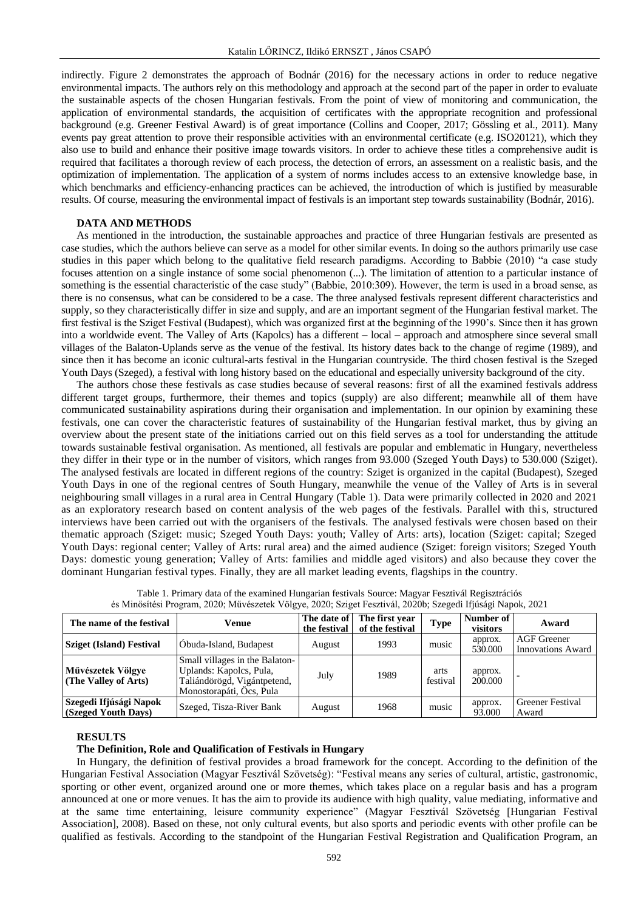indirectly. Figure 2 demonstrates the approach of Bodnár (2016) for the necessary actions in order to reduce negative environmental impacts. The authors rely on this methodology and approach at the second part of the paper in order to evaluate the sustainable aspects of the chosen Hungarian festivals. From the point of view of monitoring and communication, the application of environmental standards, the acquisition of certificates with the appropriate recognition and professional background (e.g. Greener Festival Award) is of great importance (Collins and Cooper, 2017; Gössling et al., 2011). Many events pay great attention to prove their responsible activities with an environmental certificate (e.g. ISO20121), which they also use to build and enhance their positive image towards visitors. In order to achieve these titles a comprehensive audit is required that facilitates a thorough review of each process, the detection of errors, an assessment on a realistic basis, and the optimization of implementation. The application of a system of norms includes access to an extensive knowledge base, in which benchmarks and efficiency-enhancing practices can be achieved, the introduction of which is justified by measurable results. Of course, measuring the environmental impact of festivals is an important step towards sustainability (Bodnár, 2016).

### **DATA AND METHODS**

As mentioned in the introduction, the sustainable approaches and practice of three Hungarian festivals are presented as case studies, which the authors believe can serve as a model for other similar events. In doing so the authors primarily use case studies in this paper which belong to the qualitative field research paradigms. According to Babbie (2010) "a case study focuses attention on a single instance of some social phenomenon (...). The limitation of attention to a particular instance of something is the essential characteristic of the case study" (Babbie, 2010:309). However, the term is used in a broad sense, as there is no consensus, what can be considered to be a case. The three analysed festivals represent different characteristics and supply, so they characteristically differ in size and supply, and are an important segment of the Hungarian festival market. The first festival is the Sziget Festival (Budapest), which was organized first at the beginning of the 1990's. Since then it has grown into a worldwide event. The Valley of Arts (Kapolcs) has a different – local – approach and atmosphere since several small villages of the Balaton-Uplands serve as the venue of the festival. Its history dates back to the change of regime (1989), and since then it has become an iconic cultural-arts festival in the Hungarian countryside. The third chosen festival is the Szeged Youth Days (Szeged), a festival with long history based on the educational and especially university background of the city.

The authors chose these festivals as case studies because of several reasons: first of all the examined festivals address different target groups, furthermore, their themes and topics (supply) are also different; meanwhile all of them have communicated sustainability aspirations during their organisation and implementation. In our opinion by examining these festivals, one can cover the characteristic features of sustainability of the Hungarian festival market, thus by giving an overview about the present state of the initiations carried out on this field serves as a tool for understanding the attitude towards sustainable festival organisation. As mentioned, all festivals are popular and emblematic in Hungary, nevertheless they differ in their type or in the number of visitors, which ranges from 93.000 (Szeged Youth Days) to 530.000 (Sziget). The analysed festivals are located in different regions of the country: Sziget is organized in the capital (Budapest), Szeged Youth Days in one of the regional centres of South Hungary, meanwhile the venue of the Valley of Arts is in several neighbouring small villages in a rural area in Central Hungary (Table 1). Data were primarily collected in 2020 and 2021 as an exploratory research based on content analysis of the web pages of the festivals. Parallel with this, structured interviews have been carried out with the organisers of the festivals. The analysed festivals were chosen based on their thematic approach (Sziget: music; Szeged Youth Days: youth; Valley of Arts: arts), location (Sziget: capital; Szeged Youth Days: regional center; Valley of Arts: rural area) and the aimed audience (Sziget: foreign visitors; Szeged Youth Days: domestic young generation; Valley of Arts: families and middle aged visitors) and also because they cover the dominant Hungarian festival types. Finally, they are all market leading events, flagships in the country.

| The name of the festival                      | Venue                                                                                                                | The date of<br>the festival | The first year<br>of the festival | <b>Type</b>      | Number of<br>visitors | Award                                          |
|-----------------------------------------------|----------------------------------------------------------------------------------------------------------------------|-----------------------------|-----------------------------------|------------------|-----------------------|------------------------------------------------|
| Sziget (Island) Festival                      | Óbuda-Island, Budapest                                                                                               | August                      | 1993                              | music            | approx.<br>530.000    | <b>AGF</b> Greener<br><b>Innovations Award</b> |
| Művészetek Völgye<br>(The Valley of Arts)     | Small villages in the Balaton-<br>Uplands: Kapolcs, Pula,<br>Taliándörögd, Vigántpetend,<br>Monostorapáti, Ócs, Pula | July                        | 1989                              | arts<br>festival | approx.<br>200,000    |                                                |
| Szegedi Ifjúsági Napok<br>(Szeged Youth Days) | Szeged, Tisza-River Bank                                                                                             | August                      | 1968                              | music            | approx.<br>93.000     | <b>Greener Festival</b><br>Award               |

Table 1. Primary data of the examined Hungarian festivals Source: Magyar Fesztivál Regisztrációs és Minősítési Program, 2020; Művészetek Völgye, 2020; Sziget Fesztivál, 2020b; Szegedi Ifjúsági Napok, 2021

#### **RESULTS**

### **The Definition, Role and Qualification of Festivals in Hungary**

In Hungary, the definition of festival provides a broad framework for the concept. According to the definition of the Hungarian Festival Association (Magyar Fesztivál Szövetség): "Festival means any series of cultural, artistic, gastronomic, sporting or other event, organized around one or more themes, which takes place on a regular basis and has a program announced at one or more venues. It has the aim to provide its audience with high quality, value mediating, informative and at the same time entertaining, leisure community experience" (Magyar Fesztivál Szövetség [Hungarian Festival Association], 2008). Based on these, not only cultural events, but also sports and periodic events with other profile can be qualified as festivals. According to the standpoint of the Hungarian Festival Registration and Qualification Program, an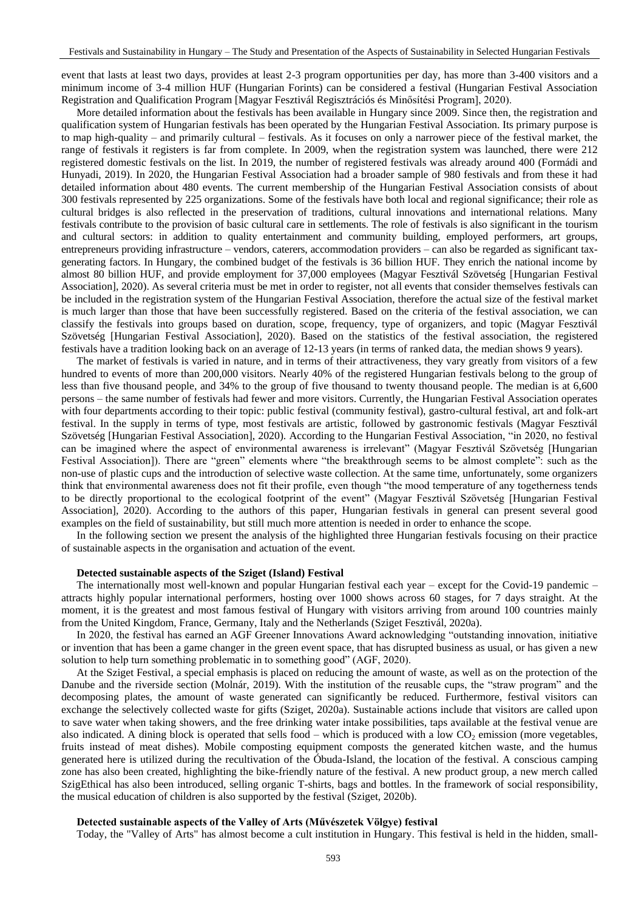event that lasts at least two days, provides at least 2-3 program opportunities per day, has more than 3-400 visitors and a minimum income of 3-4 million HUF (Hungarian Forints) can be considered a festival (Hungarian Festival Association Registration and Qualification Program [Magyar Fesztivál Regisztrációs és Minősítési Program], 2020).

More detailed information about the festivals has been available in Hungary since 2009. Since then, the registration and qualification system of Hungarian festivals has been operated by the Hungarian Festival Association. Its primary purpose is to map high-quality – and primarily cultural – festivals. As it focuses on only a narrower piece of the festival market, the range of festivals it registers is far from complete. In 2009, when the registration system was launched, there were 212 registered domestic festivals on the list. In 2019, the number of registered festivals was already around 400 (Formádi and Hunyadi, 2019). In 2020, the Hungarian Festival Association had a broader sample of 980 festivals and from these it had detailed information about 480 events. The current membership of the Hungarian Festival Association consists of about 300 festivals represented by 225 organizations. Some of the festivals have both local and regional significance; their role as cultural bridges is also reflected in the preservation of traditions, cultural innovations and international relations. Many festivals contribute to the provision of basic cultural care in settlements. The role of festivals is also significant in the tourism and cultural sectors: in addition to quality entertainment and community building, employed performers, art groups, entrepreneurs providing infrastructure – vendors, caterers, accommodation providers – can also be regarded as significant taxgenerating factors. In Hungary, the combined budget of the festivals is 36 billion HUF. They enrich the national income by almost 80 billion HUF, and provide employment for 37,000 employees (Magyar Fesztivál Szövetség [Hungarian Festival Association], 2020). As several criteria must be met in order to register, not all events that consider themselves festivals can be included in the registration system of the Hungarian Festival Association, therefore the actual size of the festival market is much larger than those that have been successfully registered. Based on the criteria of the festival association, we can classify the festivals into groups based on duration, scope, frequency, type of organizers, and topic (Magyar Fesztivál Szövetség [Hungarian Festival Association], 2020). Based on the statistics of the festival association, the registered festivals have a tradition looking back on an average of 12-13 years (in terms of ranked data, the median shows 9 years).

The market of festivals is varied in nature, and in terms of their attractiveness, they vary greatly from visitors of a few hundred to events of more than 200,000 visitors. Nearly 40% of the registered Hungarian festivals belong to the group of less than five thousand people, and 34% to the group of five thousand to twenty thousand people. The median is at 6,600 persons – the same number of festivals had fewer and more visitors. Currently, the Hungarian Festival Association operates with four departments according to their topic: public festival (community festival), gastro-cultural festival, art and folk-art festival. In the supply in terms of type, most festivals are artistic, followed by gastronomic festivals (Magyar Fesztivál Szövetség [Hungarian Festival Association], 2020). According to the Hungarian Festival Association, "in 2020, no festival can be imagined where the aspect of environmental awareness is irrelevant" (Magyar Fesztivál Szövetség [Hungarian Festival Association]). There are "green" elements where "the breakthrough seems to be almost complete": such as the non-use of plastic cups and the introduction of selective waste collection. At the same time, unfortunately, some organizers think that environmental awareness does not fit their profile, even though "the mood temperature of any togetherness tends to be directly proportional to the ecological footprint of the event" (Magyar Fesztivál Szövetség [Hungarian Festival Association], 2020). According to the authors of this paper, Hungarian festivals in general can present several good examples on the field of sustainability, but still much more attention is needed in order to enhance the scope.

In the following section we present the analysis of the highlighted three Hungarian festivals focusing on their practice of sustainable aspects in the organisation and actuation of the event.

### **Detected sustainable aspects of the Sziget (Island) Festival**

The internationally most well-known and popular Hungarian festival each year – except for the Covid-19 pandemic – attracts highly popular international performers, hosting over 1000 shows across 60 stages, for 7 days straight. At the moment, it is the greatest and most famous festival of Hungary with visitors arriving from around 100 countries mainly from the United Kingdom, France, Germany, Italy and the Netherlands (Sziget Fesztivál, 2020a).

In 2020, the festival has earned an AGF Greener Innovations Award acknowledging "outstanding innovation, initiative or invention that has been a game changer in the green event space, that has disrupted business as usual, or has given a new solution to help turn something problematic in to something good" (AGF, 2020).

At the Sziget Festival, a special emphasis is placed on reducing the amount of waste, as well as on the protection of the Danube and the riverside section (Molnár, 2019). With the institution of the reusable cups, the "straw program" and the decomposing plates, the amount of waste generated can significantly be reduced. Furthermore, festival visitors can exchange the selectively collected waste for gifts (Sziget, 2020a). Sustainable actions include that visitors are called upon to save water when taking showers, and the free drinking water intake possibilities, taps available at the festival venue are also indicated. A dining block is operated that sells food – which is produced with a low  $CO<sub>2</sub>$  emission (more vegetables, fruits instead of meat dishes). Mobile composting equipment composts the generated kitchen waste, and the humus generated here is utilized during the recultivation of the Óbuda-Island, the location of the festival. A conscious camping zone has also been created, highlighting the bike-friendly nature of the festival. A new product group, a new merch called SzigEthical has also been introduced, selling organic T-shirts, bags and bottles. In the framework of social responsibility, the musical education of children is also supported by the festival (Sziget, 2020b).

### **Detected sustainable aspects of the Valley of Arts (Művészetek Völgye) festival**

Today, the "Valley of Arts" has almost become a cult institution in Hungary. This festival is held in the hidden, small-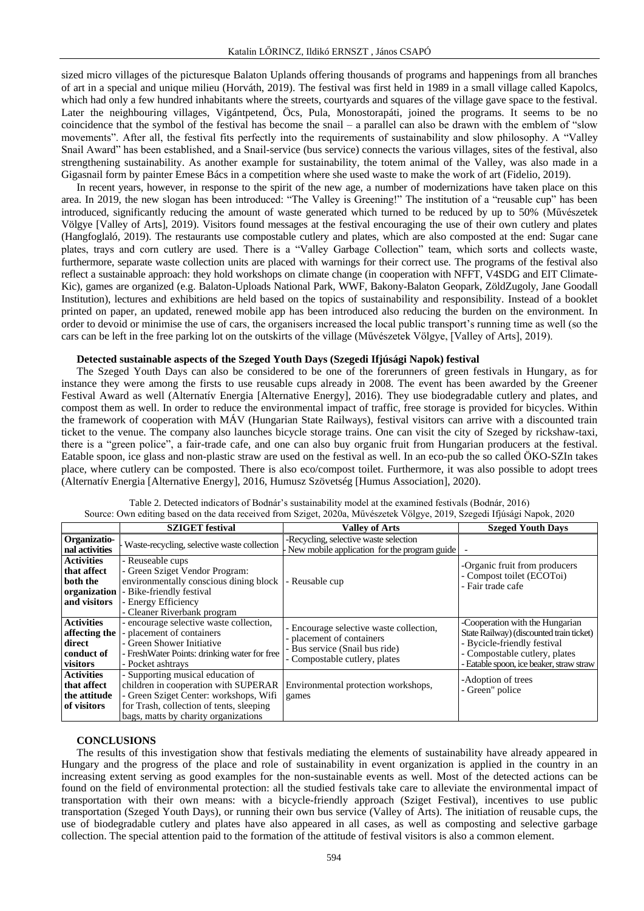sized micro villages of the picturesque Balaton Uplands offering thousands of programs and happenings from all branches of art in a special and unique milieu (Horváth, 2019). The festival was first held in 1989 in a small village called Kapolcs, which had only a few hundred inhabitants where the streets, courtyards and squares of the village gave space to the festival. Later the neighbouring villages, Vigántpetend, Öcs, Pula, Monostorapáti, joined the programs. It seems to be no coincidence that the symbol of the festival has become the snail – a parallel can also be drawn with the emblem of "slow movements". After all, the festival fits perfectly into the requirements of sustainability and slow philosophy. A "Valley Snail Award" has been established, and a Snail-service (bus service) connects the various villages, sites of the festival, also strengthening sustainability. As another example for sustainability, the totem animal of the Valley, was also made in a Gigasnail form by painter Emese Bács in a competition where she used waste to make the work of art (Fidelio, 2019).

In recent years, however, in response to the spirit of the new age, a number of modernizations have taken place on this area. In 2019, the new slogan has been introduced: "The Valley is Greening!" The institution of a "reusable cup" has been introduced, significantly reducing the amount of waste generated which turned to be reduced by up to 50% (Művészetek Völgye [Valley of Arts], 2019). Visitors found messages at the festival encouraging the use of their own cutlery and plates (Hangfoglaló, 2019). The restaurants use compostable cutlery and plates, which are also composted at the end: Sugar cane plates, trays and corn cutlery are used. There is a "Valley Garbage Collection" team, which sorts and collects waste, furthermore, separate waste collection units are placed with warnings for their correct use. The programs of the festival also reflect a sustainable approach: they hold workshops on climate change (in cooperation with NFFT, V4SDG and EIT Climate-Kic), games are organized (e.g. Balaton-Uploads National Park, WWF, Bakony-Balaton Geopark, ZöldZugoly, Jane Goodall Institution), lectures and exhibitions are held based on the topics of sustainability and responsibility. Instead of a booklet printed on paper, an updated, renewed mobile app has been introduced also reducing the burden on the environment. In order to devoid or minimise the use of cars, the organisers increased the local public transport's running time as well (so the cars can be left in the free parking lot on the outskirts of the village (Művészetek Völgye, [Valley of Arts], 2019).

### **Detected sustainable aspects of the Szeged Youth Days (Szegedi Ifjúsági Napok) festival**

The Szeged Youth Days can also be considered to be one of the forerunners of green festivals in Hungary, as for instance they were among the firsts to use reusable cups already in 2008. The event has been awarded by the Greener Festival Award as well (Alternatív Energia [Alternative Energy], 2016). They use biodegradable cutlery and plates, and compost them as well. In order to reduce the environmental impact of traffic, free storage is provided for bicycles. Within the framework of cooperation with MÁV (Hungarian State Railways), festival visitors can arrive with a discounted train ticket to the venue. The company also launches bicycle storage trains. One can visit the city of Szeged by rickshaw-taxi, there is a "green police", a fair-trade cafe, and one can also buy organic fruit from Hungarian producers at the festival. Eatable spoon, ice glass and non-plastic straw are used on the festival as well. In an eco-pub the so called ÖKO-SZIn takes place, where cutlery can be composted. There is also eco/compost toilet. Furthermore, it was also possible to adopt trees (Alternatív Energia [Alternative Energy], 2016, Humusz Szövetség [Humus Association], 2020).

|                                                                              | <b>SZIGET</b> festival                                                                                                                                                                                  | <b>Valley of Arts</b>                                                                                                                   | <b>Szeged Youth Days</b>                                                                                                                                                                |
|------------------------------------------------------------------------------|---------------------------------------------------------------------------------------------------------------------------------------------------------------------------------------------------------|-----------------------------------------------------------------------------------------------------------------------------------------|-----------------------------------------------------------------------------------------------------------------------------------------------------------------------------------------|
| Organizatio-<br>nal activities                                               | Waste-recycling, selective waste collection                                                                                                                                                             | -Recycling, selective waste selection<br>New mobile application for the program guide                                                   |                                                                                                                                                                                         |
| <b>Activities</b><br>that affect<br>both the<br>organization<br>and visitors | - Reuseable cups<br>- Green Sziget Vendor Program:<br>environmentally conscious dining block<br>- Bike-friendly festival<br>- Energy Efficiency                                                         | - Reusable cup                                                                                                                          | -Organic fruit from producers<br>- Compost toilet (ECOToi)<br>- Fair trade cafe                                                                                                         |
| <b>Activities</b><br>affecting the<br>direct<br>conduct of<br>visitors       | - Cleaner Riverbank program<br>- encourage selective waste collection,<br>- placement of containers<br>- Green Shower Initiative<br>- FreshWater Points: drinking water for free<br>- Pocket ashtrays   | - Encourage selective waste collection,<br>- placement of containers<br>- Bus service (Snail bus ride)<br>- Compostable cutlery, plates | -Cooperation with the Hungarian<br>State Railway) (discounted train ticket)<br>- Bycicle-friendly festival<br>- Compostable cutlery, plates<br>- Eatable spoon, ice beaker, straw straw |
| <b>Activities</b><br>that affect<br>the attitude<br>of visitors              | - Supporting musical education of<br>children in cooperation with SUPERAR<br>- Green Sziget Center: workshops, Wifi<br>for Trash, collection of tents, sleeping<br>bags, matts by charity organizations | Environmental protection workshops,<br>games                                                                                            | -Adoption of trees<br>- Green" police                                                                                                                                                   |

Table 2. Detected indicators of Bodnár's sustainability model at the examined festivals (Bodnár, 2016) Source: Own editing based on the data received from Sziget, 2020a, Művészetek Völgye, 2019, Szegedi Ifjúsági Napok, 2020

### **CONCLUSIONS**

The results of this investigation show that festivals mediating the elements of sustainability have already appeared in Hungary and the progress of the place and role of sustainability in event organization is applied in the country in an increasing extent serving as good examples for the non-sustainable events as well. Most of the detected actions can be found on the field of environmental protection: all the studied festivals take care to alleviate the environmental impact of transportation with their own means: with a bicycle-friendly approach (Sziget Festival), incentives to use public transportation (Szeged Youth Days), or running their own bus service (Valley of Arts). The initiation of reusable cups, the use of biodegradable cutlery and plates have also appeared in all cases, as well as composting and selective garbage collection. The special attention paid to the formation of the attitude of festival visitors is also a common element.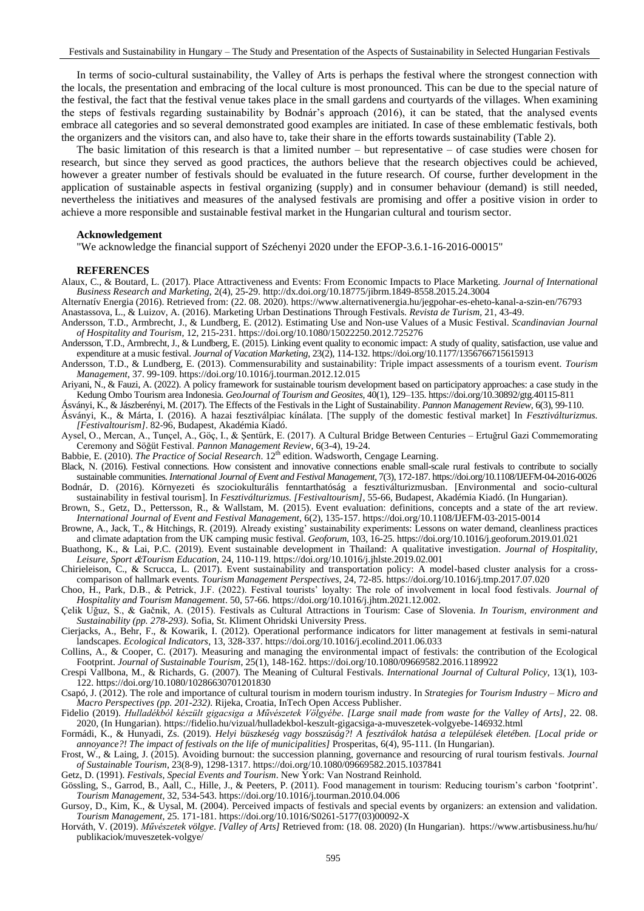In terms of socio-cultural sustainability, the Valley of Arts is perhaps the festival where the strongest connection with the locals, the presentation and embracing of the local culture is most pronounced. This can be due to the special nature of the festival, the fact that the festival venue takes place in the small gardens and courtyards of the villages. When examining the steps of festivals regarding sustainability by Bodnár's approach (2016), it can be stated, that the analysed events embrace all categories and so several demonstrated good examples are initiated. In case of these emblematic festivals, both the organizers and the visitors can, and also have to, take their share in the efforts towards sustainability (Table 2).

The basic limitation of this research is that a limited number  $-$  but representative  $-$  of case studies were chosen for research, but since they served as good practices, the authors believe that the research objectives could be achieved, however a greater number of festivals should be evaluated in the future research. Of course, further development in the application of sustainable aspects in festival organizing (supply) and in consumer behaviour (demand) is still needed, nevertheless the initiatives and measures of the analysed festivals are promising and offer a positive vision in order to achieve a more responsible and sustainable festival market in the Hungarian cultural and tourism sector.

### **Acknowledgement**

"We acknowledge the financial support of Széchenyi 2020 under the EFOP-3.6.1-16-2016-00015"

#### **REFERENCES**

Alaux, C., & Boutard, L. (2017). Place Attractiveness and Events: From Economic Impacts to Place Marketing. *Journal of International Business Research and Marketing*, 2(4), 25-29.<http://dx.doi.org/10.18775/jibrm.1849-8558.2015.24.3004>

Alternatív Energia (2016). Retrieved from: (22. 08. 2020).<https://www.alternativenergia.hu/jegpohar-es-eheto-kanal-a-szin-en/76793>

Anastassova, L., & Luizov, A. (2016). Marketing Urban Destinations Through Festivals. *Revista de Turism,* 21, 43-49.

- Andersson, T.D., Armbrecht, J., & Lundberg, E. (2012). Estimating Use and Non-use Values of a Music Festival. *Scandinavian Journal of Hospitality and Tourism*, 12, 215-231[. https://doi.org/10.1080/15022250.2012.725276](https://doi.org/10.1080/15022250.2012.725276)
- Andersson, T.D., Armbrecht, J., & Lundberg, E. (2015). Linking event quality to economic impact: A study of quality, satisfaction, use value and expenditure at a music festival. *Journal of Vacation Marketing*, 23(2), 114-132[. https://doi.org/10.1177/1356766715615913](https://doi.org/10.1177/1356766715615913)
- Andersson, T.D., & Lundberg, E. (2013). Commensurability and sustainability: Triple impact assessments of a tourism event. *Tourism Management*, 37. 99-109.<https://doi.org/10.1016/j.tourman.2012.12.015>

Ariyani, N., & Fauzi, A. (2022). A policy framework for sustainable tourism development based on participatory approaches: a case study in the Kedung Ombo Tourism area Indonesia. *GeoJournal of Tourism and Geosites*, 40(1), 129–135[. https://doi.org/10.30892/gtg.40115-811](https://doi.org/10.30892/gtg.40115-811)

Ásványi, K., & Jászberényi, M. (2017). The Effects of the Festivals in the Light of Sustainability. *Pannon Management Review*, 6(3), 99-110.

- Ásványi, K., & Márta, I. (2016). A hazai fesztiválpiac kínálata. [The supply of the domestic festival market] In *Fesztiválturizmus. [Festivaltourism]*. 82-96, Budapest, Akadémia Kiadó.
- Aysel, O., Mercan, A., Tunçel, A., Göç, I., & Şentürk, E. (2017). A Cultural Bridge Between Centuries Ertuğrul Gazi Commemorating Ceremony and Söğüt Festival. *Pannon Management Review*, 6(3-4), 19-24.
- Babbie, E. (2010). *The Practice of Social Research*. 12<sup>th</sup> edition. Wadsworth, Cengage Learning.
- Black, N. (2016). Festival connections. How consistent and innovative connections enable small-scale rural festivals to contribute to socially sustainable communities. *International Journal of Event and Festival Management*, 7(3), 172-187[. https://doi.org/10.1108/IJEFM-04-2016-0026](https://doi.org/10.1108/IJEFM-04-2016-0026) Bodnár, D. (2016). Környezeti és szociokulturális fenntarthatóság a fesztiválturizmusban. [Environmental and socio-cultural
- sustainability in festival tourism]. In *Fesztiválturizmus. [Festivaltourism],* 55-66, Budapest, Akadémia Kiadó. (In Hungarian). Brown, S., Getz, D., Pettersson, R., & Wallstam, M. (2015). Event evaluation: definitions, concepts and a state of the art review.
- *International Journal of Event and Festival Management,* 6(2), 135-157[. https://doi.org/10.1108/IJEFM-03-2015-0014](https://doi.org/10.1108/IJEFM-03-2015-0014) Browne, A., Jack, T., & Hitchings, R. (2019). Already existing' sustainability experiments: Lessons on water demand, cleanliness practices
- and climate adaptation from the UK camping music festival. *Geoforum*, 103, 16-25[. https://doi.org/10.1016/j.geoforum.2019.01.021](https://doi.org/10.1016/j.geoforum.2019.01.021)
- Buathong, K., & Lai, P.C. (2019). Event sustainable development in Thailand: A qualitative investigation. *Journal of Hospitality, Leisure, Sport Tourism Education*, 24, 110-119.<https://doi.org/10.1016/j.jhlste.2019.02.001>
- Chirieleison, C., & Scrucca, L. (2017). Event sustainability and transportation policy: A model-based cluster analysis for a crosscomparison of hallmark events. *Tourism Management Perspectives*, 24, 72-85.<https://doi.org/10.1016/j.tmp.2017.07.020>
- Choo, H., Park, D.B., & Petrick, J.F. (2022). Festival tourists' loyalty: The role of involvement in local food festivals. *Journal of Hospitality and Tourism Management*. 50, 57-66[. https://doi.org/10.1016/j.jhtm.2021.12.002.](https://doi.org/10.1016/j.jhtm.2021.12.002)
- Çelik Uğuz, S., & Gačnik, A. (2015). Festivals as Cultural Attractions in Tourism: Case of Slovenia. *In Tourism, environment and Sustainability (pp. 278-293)*. Sofia, St. Kliment Ohridski University Press.
- Cierjacks, A., Behr, F., & Kowarik, I. (2012). Operational performance indicators for litter management at festivals in semi-natural landscapes. *Ecological Indicators*, 13, 328-337.<https://doi.org/10.1016/j.ecolind.2011.06.033>
- Collins, A., & Cooper, C. (2017). Measuring and managing the environmental impact of festivals: the contribution of the Ecological Footprint. *Journal of Sustainable Tourism*, 25(1), 148-162[. https://doi.org/10.1080/09669582.2016.1189922](https://doi.org/10.1080/09669582.2016.1189922)
- Crespi Vallbona, M., & Richards, G. (2007). The Meaning of Cultural Festivals. *International Journal of Cultural Policy*, 13(1), 103- 122.<https://doi.org/10.1080/10286630701201830>

Csapó, J. (2012). [The role and importance of cultural tourism in modern tourism industry.](https://m2.mtmt.hu/gui2/?mode=browse¶ms=publication;1970496) In *[Strategies for Tourism Industry –](https://m2.mtmt.hu/gui2/?mode=browse¶ms=publication;1970495) Micro and [Macro Perspectives](https://m2.mtmt.hu/gui2/?mode=browse¶ms=publication;1970495) (pp. 201-232)*. Rijeka, Croatia, InTech Open Access Publisher.

- Fidelio (2019). *Hulladékból készült gigacsiga a Művészetek Völgyébe*. *[Large snail made from waste for the Valley of Arts]*, 22. 08. 2020, (In Hungarian). <https://fidelio.hu/vizual/hulladekbol-keszult-gigacsiga-a-muveszetek-volgyebe-146932.html>
- Formádi, K., & Hunyadi, Zs. (2019). *Helyi büszkeség vagy bosszúság?! A fesztiválok hatása a települések életében. [Local pride or annoyance?! The impact of festivals on the life of municipalities]* Prosperitas, 6(4), 95-111. (In Hungarian).
- Frost, W., & Laing, J. (2015). Avoiding burnout: the succession planning, governance and resourcing of rural tourism festivals. *Journal of Sustainable Tourism*, 23(8-9), 1298-1317.<https://doi.org/10.1080/09669582.2015.1037841>
- Getz, D. (1991). *Festivals, Special Events and Tourism*. New York: Van Nostrand Reinhold.
- Gössling, S., Garrod, B., Aall, C., Hille, J., & Peeters, P. (2011). Food management in tourism: Reducing tourism's carbon 'footprint'. *Tourism Management*, 32, 534-543[. https://doi.org/10.1016/j.tourman.2010.04.006](https://doi.org/10.1016/j.tourman.2010.04.006)
- Gursoy, D., Kim, K., & Uysal, M. (2004). Perceived impacts of festivals and special events by organizers: an extension and validation. *Tourism Management*, 25. 171-181[. https://doi.org/10.1016/S0261-5177\(03\)00092-X](https://doi.org/10.1016/S0261-5177(03)00092-X)
- Horváth, V. (2019). *Művészetek völgye*. *[Valley of Arts]* Retrieved from: (18. 08. 2020) (In Hungarian). [https://www.artisbusiness.hu/hu/](https://www.artisbusiness.hu/hu/%20publikaciok/muveszetek-volgye/)  [publikaciok/muveszetek-volgye/](https://www.artisbusiness.hu/hu/%20publikaciok/muveszetek-volgye/)